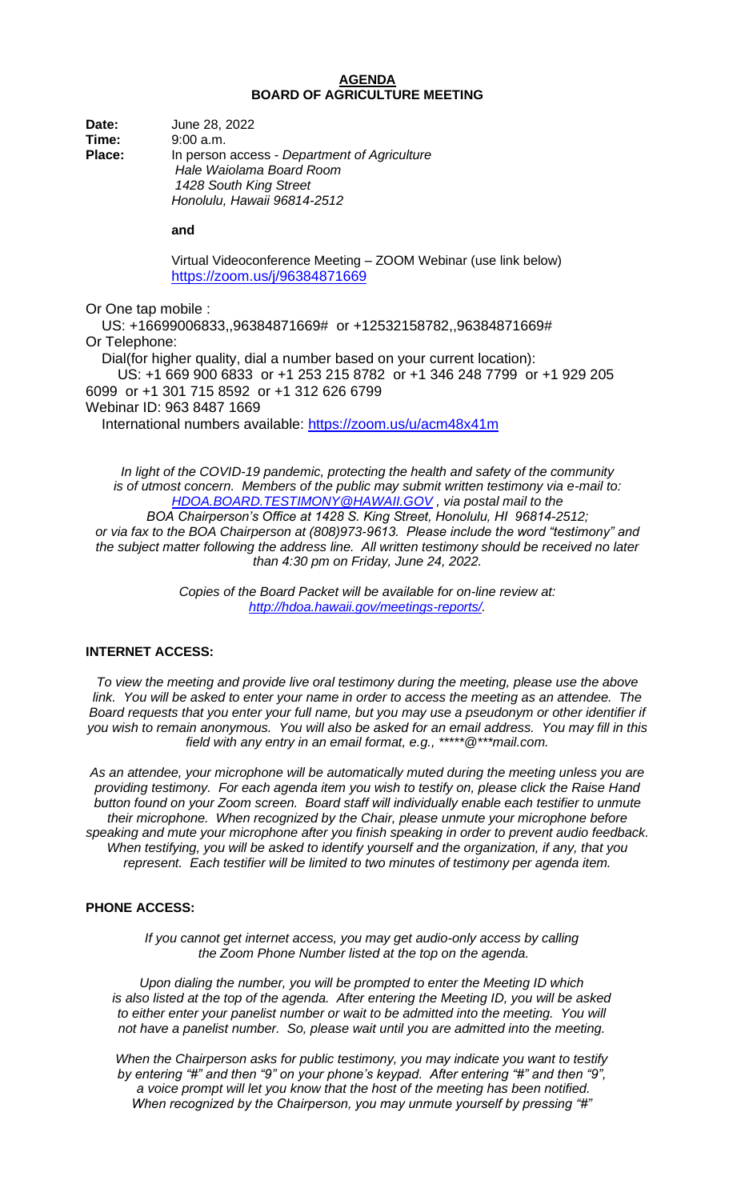## **AGENDA BOARD OF AGRICULTURE MEETING**

**Date:** June 28, 2022 **Time:** 9:00 a.m. **Place:** In person access - *Department of Agriculture Hale Waiolama Board Room 1428 South King Street Honolulu, Hawaii 96814-2512*

**and** 

Virtual Videoconference Meeting – ZOOM Webinar (use link below) <https://zoom.us/j/96384871669>

Or One tap mobile :

 US: +16699006833,,96384871669# or +12532158782,,96384871669# Or Telephone: Dial(for higher quality, dial a number based on your current location): US: +1 669 900 6833 or +1 253 215 8782 or +1 346 248 7799 or +1 929 205 6099 or +1 301 715 8592 or +1 312 626 6799 Webinar ID: 963 8487 1669 International numbers available:<https://zoom.us/u/acm48x41m>

*In light of the COVID-19 pandemic, protecting the health and safety of the community is of utmost concern. Members of the public may submit written testimony via e-mail to: [HDOA.BOARD.TESTIMONY@HAWAII.GOV](mailto:HDOA.BOARD.TESTIMONY@HAWAII.GOV) , via postal mail to the BOA Chairperson's Office at 1428 S. King Street, Honolulu, HI 96814-2512; or via fax to the BOA Chairperson at (808)973-9613. Please include the word "testimony" and the subject matter following the address line. All written testimony should be received no later than 4:30 pm on Friday, June 24, 2022.*

> *Copies of the Board Packet will be available for on-line review at: [http://hdoa.hawaii.gov/meetings-reports/.](http://hdoa.hawaii.gov/meetings-reports/)*

## **INTERNET ACCESS:**

*To view the meeting and provide live oral testimony during the meeting, please use the above link. You will be asked to enter your name in order to access the meeting as an attendee. The Board requests that you enter your full name, but you may use a pseudonym or other identifier if you wish to remain anonymous. You will also be asked for an email address. You may fill in this field with any entry in an email format, e.g., \*\*\*\*\*@\*\*\*mail.com.*

*As an attendee, your microphone will be automatically muted during the meeting unless you are providing testimony. For each agenda item you wish to testify on, please click the Raise Hand button found on your Zoom screen. Board staff will individually enable each testifier to unmute their microphone. When recognized by the Chair, please unmute your microphone before speaking and mute your microphone after you finish speaking in order to prevent audio feedback. When testifying, you will be asked to identify yourself and the organization, if any, that you represent. Each testifier will be limited to two minutes of testimony per agenda item.*

## **PHONE ACCESS:**

*If you cannot get internet access, you may get audio-only access by calling the Zoom Phone Number listed at the top on the agenda.*

*Upon dialing the number, you will be prompted to enter the Meeting ID which is also listed at the top of the agenda. After entering the Meeting ID, you will be asked to either enter your panelist number or wait to be admitted into the meeting. You will not have a panelist number. So, please wait until you are admitted into the meeting.*

*When the Chairperson asks for public testimony, you may indicate you want to testify by entering "#" and then "9" on your phone's keypad. After entering "#" and then "9", a voice prompt will let you know that the host of the meeting has been notified. When recognized by the Chairperson, you may unmute yourself by pressing "#"*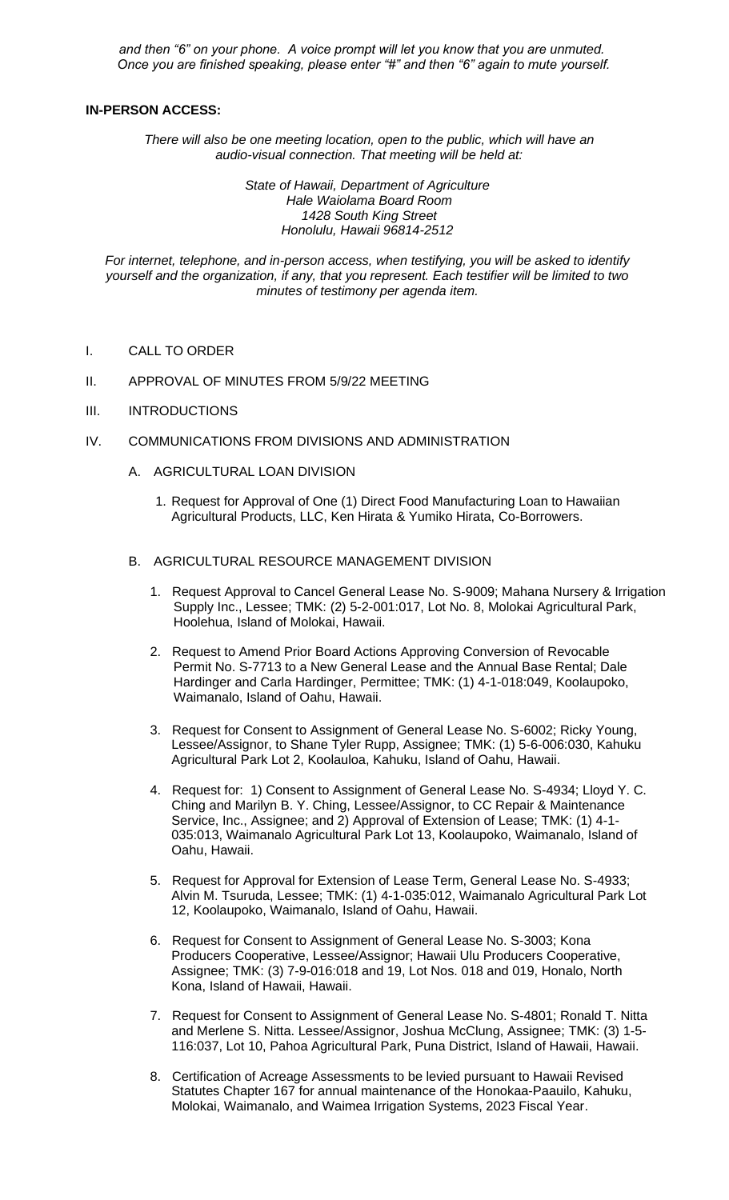*and then "6" on your phone. A voice prompt will let you know that you are unmuted. Once you are finished speaking, please enter "#" and then "6" again to mute yourself.*

## **IN-PERSON ACCESS:**

*There will also be one meeting location, open to the public, which will have an audio-visual connection. That meeting will be held at:* 

> *State of Hawaii, Department of Agriculture Hale Waiolama Board Room 1428 South King Street Honolulu, Hawaii 96814-2512*

*For internet, telephone, and in-person access, when testifying, you will be asked to identify yourself and the organization, if any, that you represent. Each testifier will be limited to two minutes of testimony per agenda item.*

- I. CALL TO ORDER
- II. APPROVAL OF MINUTES FROM 5/9/22 MEETING
- III. INTRODUCTIONS
- IV. COMMUNICATIONS FROM DIVISIONS AND ADMINISTRATION
	- A. AGRICULTURAL LOAN DIVISION
		- 1. Request for Approval of One (1) Direct Food Manufacturing Loan to Hawaiian Agricultural Products, LLC, Ken Hirata & Yumiko Hirata, Co-Borrowers.
	- B. AGRICULTURAL RESOURCE MANAGEMENT DIVISION
		- 1. Request Approval to Cancel General Lease No. S-9009; Mahana Nursery & Irrigation Supply Inc., Lessee; TMK: (2) 5-2-001:017, Lot No. 8, Molokai Agricultural Park, Hoolehua, Island of Molokai, Hawaii.
		- 2. Request to Amend Prior Board Actions Approving Conversion of Revocable Permit No. S-7713 to a New General Lease and the Annual Base Rental; Dale Hardinger and Carla Hardinger, Permittee; TMK: (1) 4-1-018:049, Koolaupoko, Waimanalo, Island of Oahu, Hawaii.
		- 3. Request for Consent to Assignment of General Lease No. S-6002; Ricky Young, Lessee/Assignor, to Shane Tyler Rupp, Assignee; TMK: (1) 5-6-006:030, Kahuku Agricultural Park Lot 2, Koolauloa, Kahuku, Island of Oahu, Hawaii.
		- 4. Request for: 1) Consent to Assignment of General Lease No. S-4934; Lloyd Y. C. Ching and Marilyn B. Y. Ching, Lessee/Assignor, to CC Repair & Maintenance Service, Inc., Assignee; and 2) Approval of Extension of Lease; TMK: (1) 4-1- 035:013, Waimanalo Agricultural Park Lot 13, Koolaupoko, Waimanalo, Island of Oahu, Hawaii.
		- 5. Request for Approval for Extension of Lease Term, General Lease No. S-4933; Alvin M. Tsuruda, Lessee; TMK: (1) 4-1-035:012, Waimanalo Agricultural Park Lot 12, Koolaupoko, Waimanalo, Island of Oahu, Hawaii.
		- 6. Request for Consent to Assignment of General Lease No. S-3003; Kona Producers Cooperative, Lessee/Assignor; Hawaii Ulu Producers Cooperative, Assignee; TMK: (3) 7-9-016:018 and 19, Lot Nos. 018 and 019, Honalo, North Kona, Island of Hawaii, Hawaii.
		- 7. Request for Consent to Assignment of General Lease No. S-4801; Ronald T. Nitta and Merlene S. Nitta. Lessee/Assignor, Joshua McClung, Assignee; TMK: (3) 1-5- 116:037, Lot 10, Pahoa Agricultural Park, Puna District, Island of Hawaii, Hawaii.
		- 8. Certification of Acreage Assessments to be levied pursuant to Hawaii Revised Statutes Chapter 167 for annual maintenance of the Honokaa-Paauilo, Kahuku, Molokai, Waimanalo, and Waimea Irrigation Systems, 2023 Fiscal Year.